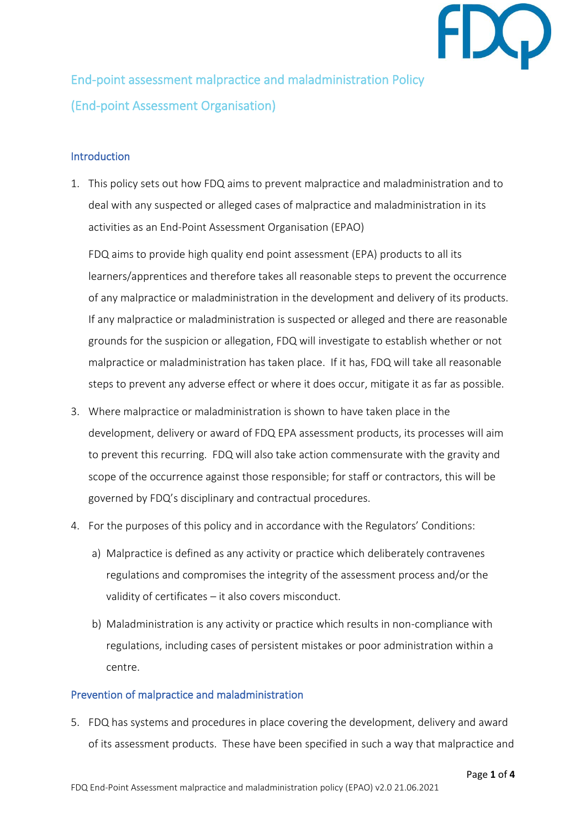

End-point assessment malpractice and maladministration Policy (End-point Assessment Organisation)

## **Introduction**

1. This policy sets out how FDQ aims to prevent malpractice and maladministration and to deal with any suspected or alleged cases of malpractice and maladministration in its activities as an End-Point Assessment Organisation (EPAO)

FDQ aims to provide high quality end point assessment (EPA) products to all its learners/apprentices and therefore takes all reasonable steps to prevent the occurrence of any malpractice or maladministration in the development and delivery of its products. If any malpractice or maladministration is suspected or alleged and there are reasonable grounds for the suspicion or allegation, FDQ will investigate to establish whether or not malpractice or maladministration has taken place. If it has, FDQ will take all reasonable steps to prevent any adverse effect or where it does occur, mitigate it as far as possible.

- 3. Where malpractice or maladministration is shown to have taken place in the development, delivery or award of FDQ EPA assessment products, its processes will aim to prevent this recurring. FDQ will also take action commensurate with the gravity and scope of the occurrence against those responsible; for staff or contractors, this will be governed by FDQ's disciplinary and contractual procedures.
- 4. For the purposes of this policy and in accordance with the Regulators' Conditions:
	- a) Malpractice is defined as any activity or practice which deliberately contravenes regulations and compromises the integrity of the assessment process and/or the validity of certificates – it also covers misconduct.
	- b) Maladministration is any activity or practice which results in non-compliance with regulations, including cases of persistent mistakes or poor administration within a centre.

## Prevention of malpractice and maladministration

5. FDQ has systems and procedures in place covering the development, delivery and award of its assessment products. These have been specified in such a way that malpractice and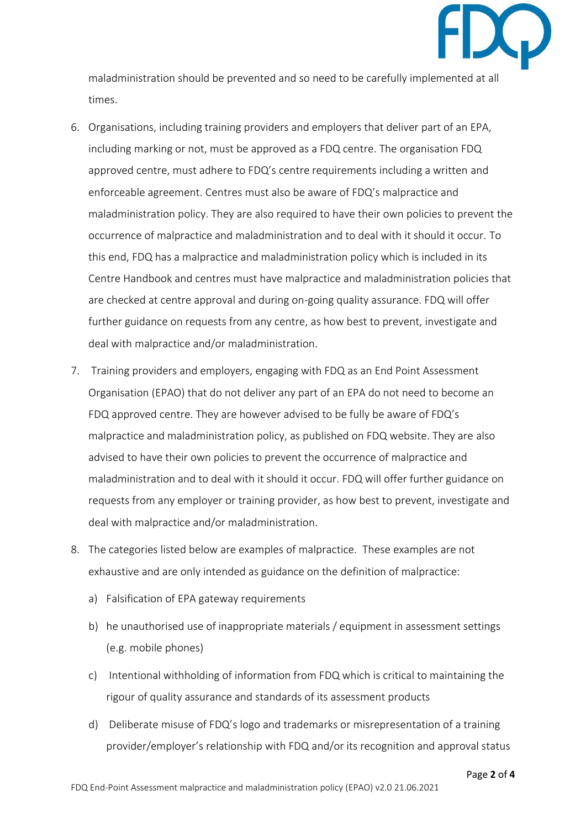

maladministration should be prevented and so need to be carefully implemented at all times.

- 6. Organisations, including training providers and employers that deliver part of an EPA, including marking or not, must be approved as a FDQ centre. The organisation FDQ approved centre, must adhere to FDQ's centre requirements including a written and enforceable agreement. Centres must also be aware of FDQ's malpractice and maladministration policy. They are also required to have their own policies to prevent the occurrence of malpractice and maladministration and to deal with it should it occur. To this end, FDQ has a malpractice and maladministration policy which is included in its Centre Handbook and centres must have malpractice and maladministration policies that are checked at centre approval and during on-going quality assurance. FDQ will offer further guidance on requests from any centre, as how best to prevent, investigate and deal with malpractice and/or maladministration.
- 7. Training providers and employers, engaging with FDQ as an End Point Assessment Organisation (EPAO) that do not deliver any part of an EPA do not need to become an FDQ approved centre. They are however advised to be fully be aware of FDQ's malpractice and maladministration policy, as published on FDQ website. They are also advised to have their own policies to prevent the occurrence of malpractice and maladministration and to deal with it should it occur. FDQ will offer further guidance on requests from any employer or training provider, as how best to prevent, investigate and deal with malpractice and/or maladministration.
- 8. The categories listed below are examples of malpractice. These examples are not exhaustive and are only intended as guidance on the definition of malpractice:
	- a) Falsification of EPA gateway requirements
	- b) he unauthorised use of inappropriate materials / equipment in assessment settings (e.g. mobile phones)
	- c) Intentional withholding of information from FDQ which is critical to maintaining the rigour of quality assurance and standards of its assessment products
	- d) Deliberate misuse of FDQ's logo and trademarks or misrepresentation of a training provider/employer's relationship with FDQ and/or its recognition and approval status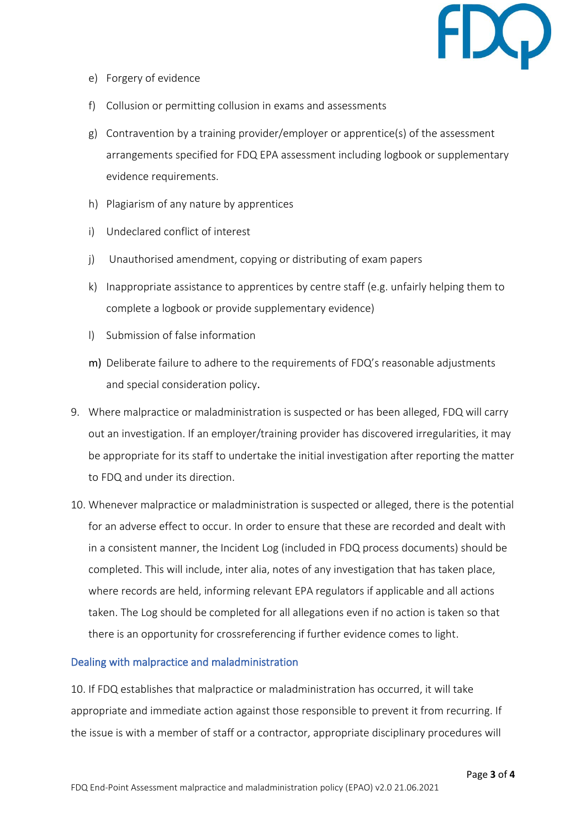

- e) Forgery of evidence
- f) Collusion or permitting collusion in exams and assessments
- g) Contravention by a training provider/employer or apprentice(s) of the assessment arrangements specified for FDQ EPA assessment including logbook or supplementary evidence requirements.
- h) Plagiarism of any nature by apprentices
- i) Undeclared conflict of interest
- j) Unauthorised amendment, copying or distributing of exam papers
- k) Inappropriate assistance to apprentices by centre staff (e.g. unfairly helping them to complete a logbook or provide supplementary evidence)
- l) Submission of false information
- m) Deliberate failure to adhere to the requirements of FDQ's reasonable adjustments and special consideration policy.
- 9. Where malpractice or maladministration is suspected or has been alleged, FDQ will carry out an investigation. If an employer/training provider has discovered irregularities, it may be appropriate for its staff to undertake the initial investigation after reporting the matter to FDQ and under its direction.
- 10. Whenever malpractice or maladministration is suspected or alleged, there is the potential for an adverse effect to occur. In order to ensure that these are recorded and dealt with in a consistent manner, the Incident Log (included in FDQ process documents) should be completed. This will include, inter alia, notes of any investigation that has taken place, where records are held, informing relevant EPA regulators if applicable and all actions taken. The Log should be completed for all allegations even if no action is taken so that there is an opportunity for crossreferencing if further evidence comes to light.

## Dealing with malpractice and maladministration

10. If FDQ establishes that malpractice or maladministration has occurred, it will take appropriate and immediate action against those responsible to prevent it from recurring. If the issue is with a member of staff or a contractor, appropriate disciplinary procedures will